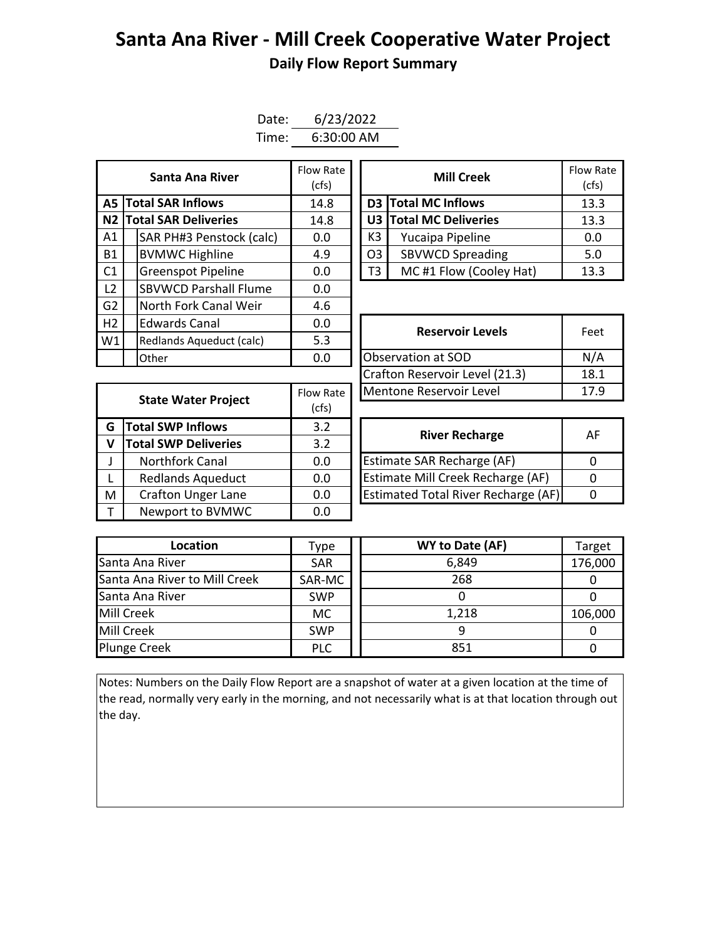## **Santa Ana River - Mill Creek Cooperative Water Project Daily Flow Report Summary**

| Date: | 6/23/2022    |  |  |  |  |  |
|-------|--------------|--|--|--|--|--|
| Time: | $6:30:00$ AM |  |  |  |  |  |

| Santa Ana River |                          |                                | Flow Rate<br>(cfs) |  | <b>Mill Creek</b>            |                               | Flow Ra<br>(cfs) |
|-----------------|--------------------------|--------------------------------|--------------------|--|------------------------------|-------------------------------|------------------|
| A5 I            |                          | <b>Total SAR Inflows</b>       | 14.8               |  |                              | D3 Total MC Inflows           | 13.3             |
|                 |                          | <b>N2 Total SAR Deliveries</b> | 14.8               |  |                              | <b>U3 Total MC Deliveries</b> | 13.3             |
| A1              |                          | SAR PH#3 Penstock (calc)       | 0.0                |  | K3                           | Yucaipa Pipeline              | 0.0              |
| <b>B1</b>       |                          | <b>BVMWC Highline</b>          | 4.9                |  | O <sub>3</sub>               | <b>SBVWCD Spreading</b>       | 5.0              |
| C1              |                          | <b>Greenspot Pipeline</b>      | 0.0                |  | MC#1 Flow (Cooley Hat)<br>T3 |                               | 13.3             |
| L2              |                          | <b>SBVWCD Parshall Flume</b>   | 0.0                |  |                              |                               |                  |
| G <sub>2</sub>  |                          | North Fork Canal Weir          | 4.6                |  |                              |                               |                  |
| H2              |                          | <b>Edwards Canal</b>           | 0.0                |  |                              | <b>Reservoir Levels</b>       | Feet             |
| W1              | Redlands Aqueduct (calc) |                                | 5.3                |  |                              |                               |                  |
|                 |                          | Other                          | 0.0                |  | Observation at SOD           |                               | N/A              |

| Santa Ana River         | Flow Rate<br>(cfs) |                               | <b>Mill Creek</b>      | <b>Flow Rate</b><br>(cfs) |
|-------------------------|--------------------|-------------------------------|------------------------|---------------------------|
| <b>I SAR Inflows</b>    | 14.8               |                               | D3 Total MC Inflows    | 13.3                      |
| <b>I SAR Deliveries</b> | 14.8               | U3 Total MC Deliveries        |                        | 13.3                      |
| AR PH#3 Penstock (calc) | 0.0                | K3<br>Yucaipa Pipeline        |                        | 0.0                       |
| /MWC Highline           | 4.9                | <b>SBVWCD Spreading</b><br>O3 |                        | 5.0                       |
| reenspot Pipeline       | 0.0                | T3                            | MC#1 Flow (Cooley Hat) | 13.3                      |

|   |                             |           | [Crafton Reservoir Level (21.3)            | 18       |  |  |  |  |
|---|-----------------------------|-----------|--------------------------------------------|----------|--|--|--|--|
|   |                             | Flow Rate | Mentone Reservoir Level                    |          |  |  |  |  |
|   | <b>State Water Project</b>  | (cfs)     |                                            |          |  |  |  |  |
| G | <b>Total SWP Inflows</b>    | 3.2       | <b>River Recharge</b>                      | A        |  |  |  |  |
| V | <b>Total SWP Deliveries</b> | 3.2       |                                            |          |  |  |  |  |
|   | Northfork Canal             | 0.0       | <b>Estimate SAR Recharge (AF)</b>          | $\Omega$ |  |  |  |  |
|   | <b>Redlands Aqueduct</b>    | 0.0       | <b>Estimate Mill Creek Recharge (AF)</b>   | $\Omega$ |  |  |  |  |
| M | <b>Crafton Unger Lane</b>   | 0.0       | <b>Estimated Total River Recharge (AF)</b> | 0        |  |  |  |  |
|   | Newport to BVMWC            | 0.0       |                                            |          |  |  |  |  |

| <b>Edwards Canal</b><br>0.0<br>5.3<br>Redlands Aqueduct (calc) |           | <b>Reservoir Levels</b>        | Feet |  |
|----------------------------------------------------------------|-----------|--------------------------------|------|--|
|                                                                |           |                                |      |  |
| Other                                                          | 0.0       | Observation at SOD             | N/A  |  |
|                                                                |           | Crafton Reservoir Level (21.3) | 18.1 |  |
|                                                                | Flow Rate | Mentone Reservoir Level        | 17.9 |  |
| State Water Project                                            |           |                                |      |  |

| <b>River Recharge</b>                      | AF |
|--------------------------------------------|----|
| <b>Estimate SAR Recharge (AF)</b>          |    |
| Estimate Mill Creek Recharge (AF)          |    |
| <b>Estimated Total River Recharge (AF)</b> |    |

| Location                      | Type       | WY to Date (AF) | Target  |
|-------------------------------|------------|-----------------|---------|
| Santa Ana River               | <b>SAR</b> | 6,849           | 176,000 |
| Santa Ana River to Mill Creek | SAR-MC     | 268             |         |
| Santa Ana River               | <b>SWP</b> |                 |         |
| Mill Creek                    | <b>MC</b>  | 1,218           | 106,000 |
| Mill Creek                    | <b>SWP</b> |                 |         |
| <b>Plunge Creek</b>           | <b>PLC</b> | 851             |         |

Notes: Numbers on the Daily Flow Report are a snapshot of water at a given location at the time of the read, normally very early in the morning, and not necessarily what is at that location through out the day.